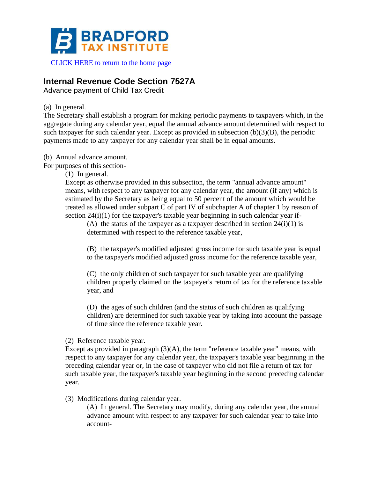

[CLICK HERE to return to the home page](https://www.bradfordtaxinstitute.com)

## **Internal Revenue Code Section 7527A**

Advance payment of Child Tax Credit

(a) In general.

The Secretary shall establish a program for making periodic payments to taxpayers which, in the aggregate during any calendar year, equal the annual advance amount determined with respect to such taxpayer for such calendar year. Except as provided in subsection  $(b)(3)(B)$ , the periodic payments made to any taxpayer for any calendar year shall be in equal amounts.

(b) Annual advance amount.

For purposes of this section-

(1) In general.

Except as otherwise provided in this subsection, the term "annual advance amount" means, with respect to any taxpayer for any calendar year, the amount (if any) which is estimated by the Secretary as being equal to 50 percent of the amount which would be treated as allowed under subpart C of part IV of subchapter A of chapter 1 by reason of section 24(i)(1) for the taxpayer's taxable year beginning in such calendar year if-

(A) the status of the taxpayer as a taxpayer described in section  $24(i)(1)$  is determined with respect to the reference taxable year,

(B) the taxpayer's modified adjusted gross income for such taxable year is equal to the taxpayer's modified adjusted gross income for the reference taxable year,

(C) the only children of such taxpayer for such taxable year are qualifying children properly claimed on the taxpayer's return of tax for the reference taxable year, and

(D) the ages of such children (and the status of such children as qualifying children) are determined for such taxable year by taking into account the passage of time since the reference taxable year.

(2) Reference taxable year.

Except as provided in paragraph  $(3)(A)$ , the term "reference taxable year" means, with respect to any taxpayer for any calendar year, the taxpayer's taxable year beginning in the preceding calendar year or, in the case of taxpayer who did not file a return of tax for such taxable year, the taxpayer's taxable year beginning in the second preceding calendar year.

(3) Modifications during calendar year.

(A) In general. The Secretary may modify, during any calendar year, the annual advance amount with respect to any taxpayer for such calendar year to take into account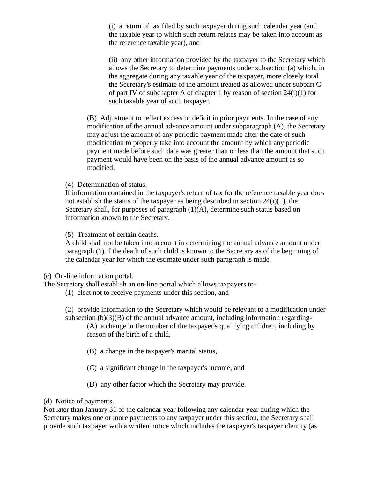(i) a return of tax filed by such taxpayer during such calendar year (and the taxable year to which such return relates may be taken into account as the reference taxable year), and

(ii) any other information provided by the taxpayer to the Secretary which allows the Secretary to determine payments under subsection (a) which, in the aggregate during any taxable year of the taxpayer, more closely total the Secretary's estimate of the amount treated as allowed under subpart C of part IV of subchapter A of chapter 1 by reason of section  $24(i)(1)$  for such taxable year of such taxpayer.

(B) Adjustment to reflect excess or deficit in prior payments. In the case of any modification of the annual advance amount under subparagraph (A), the Secretary may adjust the amount of any periodic payment made after the date of such modification to properly take into account the amount by which any periodic payment made before such date was greater than or less than the amount that such payment would have been on the basis of the annual advance amount as so modified.

(4) Determination of status.

If information contained in the taxpayer's return of tax for the reference taxable year does not establish the status of the taxpayer as being described in section 24(i)(1), the Secretary shall, for purposes of paragraph (1)(A), determine such status based on information known to the Secretary.

(5) Treatment of certain deaths.

A child shall not be taken into account in determining the annual advance amount under paragraph (1) if the death of such child is known to the Secretary as of the beginning of the calendar year for which the estimate under such paragraph is made.

(c) On-line information portal.

The Secretary shall establish an on-line portal which allows taxpayers to-

(1) elect not to receive payments under this section, and

(2) provide information to the Secretary which would be relevant to a modification under subsection (b)(3)(B) of the annual advance amount, including information regarding-

(A) a change in the number of the taxpayer's qualifying children, including by reason of the birth of a child,

- (B) a change in the taxpayer's marital status,
- (C) a significant change in the taxpayer's income, and
- (D) any other factor which the Secretary may provide.

(d) Notice of payments.

Not later than January 31 of the calendar year following any calendar year during which the Secretary makes one or more payments to any taxpayer under this section, the Secretary shall provide such taxpayer with a written notice which includes the taxpayer's taxpayer identity (as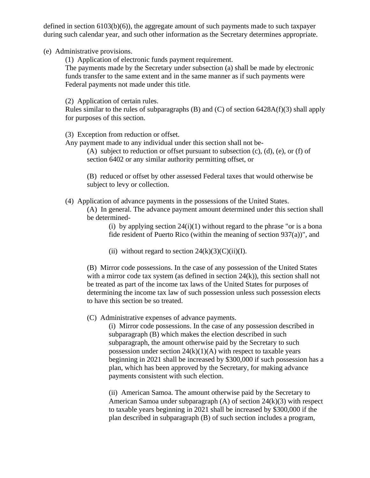defined in section 6103(b)(6)), the aggregate amount of such payments made to such taxpayer during such calendar year, and such other information as the Secretary determines appropriate.

(e) Administrative provisions.

(1) Application of electronic funds payment requirement.

The payments made by the Secretary under subsection (a) shall be made by electronic funds transfer to the same extent and in the same manner as if such payments were Federal payments not made under this title.

(2) Application of certain rules.

Rules similar to the rules of subparagraphs  $(B)$  and  $(C)$  of section 6428A(f)(3) shall apply for purposes of this section.

(3) Exception from reduction or offset.

Any payment made to any individual under this section shall not be-

(A) subject to reduction or offset pursuant to subsection  $(c)$ ,  $(d)$ ,  $(e)$ , or  $(f)$  of section 6402 or any similar authority permitting offset, or

(B) reduced or offset by other assessed Federal taxes that would otherwise be subject to levy or collection.

(4) Application of advance payments in the possessions of the United States.

(A) In general. The advance payment amount determined under this section shall be determined-

(i) by applying section  $24(i)(1)$  without regard to the phrase "or is a bona fide resident of Puerto Rico (within the meaning of section 937(a))", and

(ii) without regard to section  $24(k)(3)(C)(ii)(I)$ .

(B) Mirror code possessions. In the case of any possession of the United States with a mirror code tax system (as defined in section  $24(k)$ ), this section shall not be treated as part of the income tax laws of the United States for purposes of determining the income tax law of such possession unless such possession elects to have this section be so treated.

(C) Administrative expenses of advance payments.

(i) Mirror code possessions. In the case of any possession described in subparagraph (B) which makes the election described in such subparagraph, the amount otherwise paid by the Secretary to such possession under section  $24(k)(1)(A)$  with respect to taxable years beginning in 2021 shall be increased by \$300,000 if such possession has a plan, which has been approved by the Secretary, for making advance payments consistent with such election.

(ii) American Samoa. The amount otherwise paid by the Secretary to American Samoa under subparagraph (A) of section 24(k)(3) with respect to taxable years beginning in 2021 shall be increased by \$300,000 if the plan described in subparagraph (B) of such section includes a program,